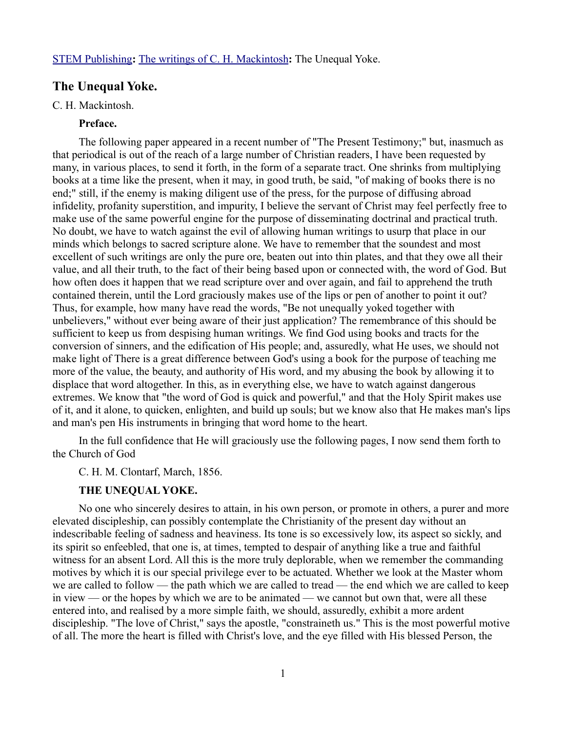# **The Unequal Yoke.**

### C. H. Mackintosh.

## **Preface.**

The following paper appeared in a recent number of "The Present Testimony;" but, inasmuch as that periodical is out of the reach of a large number of Christian readers, I have been requested by many, in various places, to send it forth, in the form of a separate tract. One shrinks from multiplying books at a time like the present, when it may, in good truth, be said, "of making of books there is no end;" still, if the enemy is making diligent use of the press, for the purpose of diffusing abroad infidelity, profanity superstition, and impurity, I believe the servant of Christ may feel perfectly free to make use of the same powerful engine for the purpose of disseminating doctrinal and practical truth. No doubt, we have to watch against the evil of allowing human writings to usurp that place in our minds which belongs to sacred scripture alone. We have to remember that the soundest and most excellent of such writings are only the pure ore, beaten out into thin plates, and that they owe all their value, and all their truth, to the fact of their being based upon or connected with, the word of God. But how often does it happen that we read scripture over and over again, and fail to apprehend the truth contained therein, until the Lord graciously makes use of the lips or pen of another to point it out? Thus, for example, how many have read the words, "Be not unequally yoked together with unbelievers," without ever being aware of their just application? The remembrance of this should be sufficient to keep us from despising human writings. We find God using books and tracts for the conversion of sinners, and the edification of His people; and, assuredly, what He uses, we should not make light of There is a great difference between God's using a book for the purpose of teaching me more of the value, the beauty, and authority of His word, and my abusing the book by allowing it to displace that word altogether. In this, as in everything else, we have to watch against dangerous extremes. We know that "the word of God is quick and powerful," and that the Holy Spirit makes use of it, and it alone, to quicken, enlighten, and build up souls; but we know also that He makes man's lips and man's pen His instruments in bringing that word home to the heart.

In the full confidence that He will graciously use the following pages, I now send them forth to the Church of God

### C. H. M. Clontarf, March, 1856.

### **THE UNEQUAL YOKE.**

No one who sincerely desires to attain, in his own person, or promote in others, a purer and more elevated discipleship, can possibly contemplate the Christianity of the present day without an indescribable feeling of sadness and heaviness. Its tone is so excessively low, its aspect so sickly, and its spirit so enfeebled, that one is, at times, tempted to despair of anything like a true and faithful witness for an absent Lord. All this is the more truly deplorable, when we remember the commanding motives by which it is our special privilege ever to be actuated. Whether we look at the Master whom we are called to follow — the path which we are called to tread — the end which we are called to keep in view — or the hopes by which we are to be animated — we cannot but own that, were all these entered into, and realised by a more simple faith, we should, assuredly, exhibit a more ardent discipleship. "The love of Christ," says the apostle, "constraineth us." This is the most powerful motive of all. The more the heart is filled with Christ's love, and the eye filled with His blessed Person, the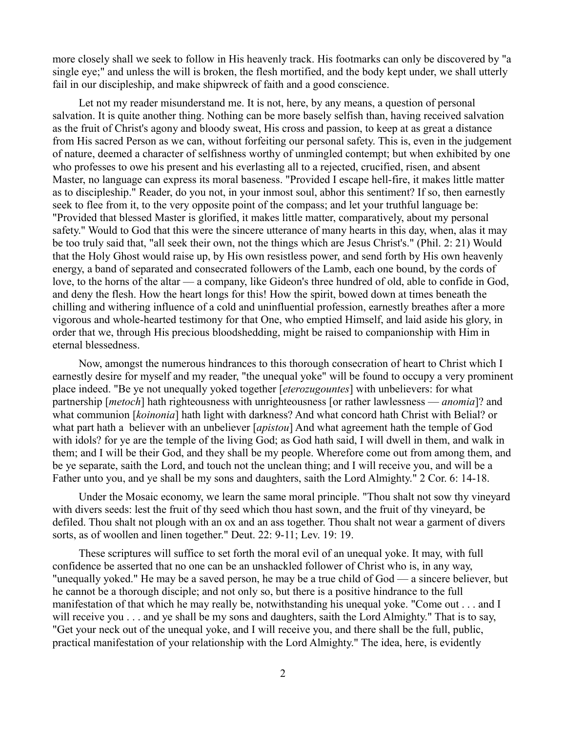more closely shall we seek to follow in His heavenly track. His footmarks can only be discovered by "a single eye;" and unless the will is broken, the flesh mortified, and the body kept under, we shall utterly fail in our discipleship, and make shipwreck of faith and a good conscience.

Let not my reader misunderstand me. It is not, here, by any means, a question of personal salvation. It is quite another thing. Nothing can be more basely selfish than, having received salvation as the fruit of Christ's agony and bloody sweat, His cross and passion, to keep at as great a distance from His sacred Person as we can, without forfeiting our personal safety. This is, even in the judgement of nature, deemed a character of selfishness worthy of unmingled contempt; but when exhibited by one who professes to owe his present and his everlasting all to a rejected, crucified, risen, and absent Master, no language can express its moral baseness. "Provided I escape hell-fire, it makes little matter as to discipleship." Reader, do you not, in your inmost soul, abhor this sentiment? If so, then earnestly seek to flee from it, to the very opposite point of the compass; and let your truthful language be: "Provided that blessed Master is glorified, it makes little matter, comparatively, about my personal safety." Would to God that this were the sincere utterance of many hearts in this day, when, alas it may be too truly said that, "all seek their own, not the things which are Jesus Christ's." (Phil. 2: 21) Would that the Holy Ghost would raise up, by His own resistless power, and send forth by His own heavenly energy, a band of separated and consecrated followers of the Lamb, each one bound, by the cords of love, to the horns of the altar — a company, like Gideon's three hundred of old, able to confide in God, and deny the flesh. How the heart longs for this! How the spirit, bowed down at times beneath the chilling and withering influence of a cold and uninfluential profession, earnestly breathes after a more vigorous and whole-hearted testimony for that One, who emptied Himself, and laid aside his glory, in order that we, through His precious bloodshedding, might be raised to companionship with Him in eternal blessedness.

Now, amongst the numerous hindrances to this thorough consecration of heart to Christ which I earnestly desire for myself and my reader, "the unequal yoke" will be found to occupy a very prominent place indeed. "Be ye not unequally yoked together [*eterozugountes*] with unbelievers: for what partnership [*metoch*] hath righteousness with unrighteousness [or rather lawlessness — *anomia*]? and what communion [*koinonia*] hath light with darkness? And what concord hath Christ with Belial? or what part hath a believer with an unbeliever [*apistou*] And what agreement hath the temple of God with idols? for ye are the temple of the living God; as God hath said, I will dwell in them, and walk in them; and I will be their God, and they shall be my people. Wherefore come out from among them, and be ye separate, saith the Lord, and touch not the unclean thing; and I will receive you, and will be a Father unto you, and ye shall be my sons and daughters, saith the Lord Almighty." 2 Cor. 6: 14-18.

Under the Mosaic economy, we learn the same moral principle. "Thou shalt not sow thy vineyard with divers seeds: lest the fruit of thy seed which thou hast sown, and the fruit of thy vineyard, be defiled. Thou shalt not plough with an ox and an ass together. Thou shalt not wear a garment of divers sorts, as of woollen and linen together." Deut. 22: 9-11; Lev. 19: 19.

These scriptures will suffice to set forth the moral evil of an unequal yoke. It may, with full confidence be asserted that no one can be an unshackled follower of Christ who is, in any way, "unequally yoked." He may be a saved person, he may be a true child of God — a sincere believer, but he cannot be a thorough disciple; and not only so, but there is a positive hindrance to the full manifestation of that which he may really be, notwithstanding his unequal yoke. "Come out . . . and I will receive you . . . and ye shall be my sons and daughters, saith the Lord Almighty." That is to say, "Get your neck out of the unequal yoke, and I will receive you, and there shall be the full, public, practical manifestation of your relationship with the Lord Almighty." The idea, here, is evidently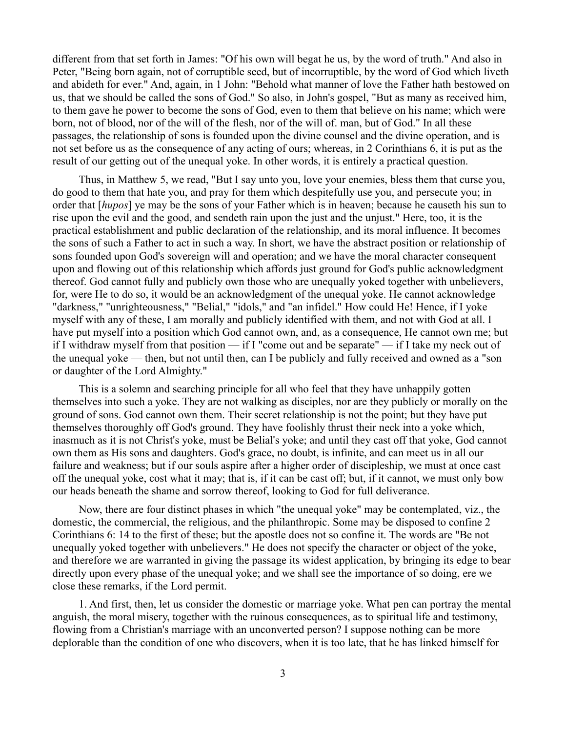different from that set forth in James: "Of his own will begat he us, by the word of truth." And also in Peter, "Being born again, not of corruptible seed, but of incorruptible, by the word of God which liveth and abideth for ever." And, again, in 1 John: "Behold what manner of love the Father hath bestowed on us, that we should be called the sons of God." So also, in John's gospel, "But as many as received him, to them gave he power to become the sons of God, even to them that believe on his name; which were born, not of blood, nor of the will of the flesh, nor of the will of. man, but of God." In all these passages, the relationship of sons is founded upon the divine counsel and the divine operation, and is not set before us as the consequence of any acting of ours; whereas, in 2 Corinthians 6, it is put as the result of our getting out of the unequal yoke. In other words, it is entirely a practical question.

Thus, in Matthew 5, we read, "But I say unto you, love your enemies, bless them that curse you, do good to them that hate you, and pray for them which despitefully use you, and persecute you; in order that [*hupos*] ye may be the sons of your Father which is in heaven; because he causeth his sun to rise upon the evil and the good, and sendeth rain upon the just and the unjust." Here, too, it is the practical establishment and public declaration of the relationship, and its moral influence. It becomes the sons of such a Father to act in such a way. In short, we have the abstract position or relationship of sons founded upon God's sovereign will and operation; and we have the moral character consequent upon and flowing out of this relationship which affords just ground for God's public acknowledgment thereof. God cannot fully and publicly own those who are unequally yoked together with unbelievers, for, were He to do so, it would be an acknowledgment of the unequal yoke. He cannot acknowledge "darkness," "unrighteousness," "Belial," "idols," and "an infidel." How could He! Hence, if I yoke myself with any of these, I am morally and publicly identified with them, and not with God at all. I have put myself into a position which God cannot own, and, as a consequence, He cannot own me; but if I withdraw myself from that position — if I "come out and be separate" — if I take my neck out of the unequal yoke — then, but not until then, can I be publicly and fully received and owned as a "son or daughter of the Lord Almighty."

This is a solemn and searching principle for all who feel that they have unhappily gotten themselves into such a yoke. They are not walking as disciples, nor are they publicly or morally on the ground of sons. God cannot own them. Their secret relationship is not the point; but they have put themselves thoroughly off God's ground. They have foolishly thrust their neck into a yoke which, inasmuch as it is not Christ's yoke, must be Belial's yoke; and until they cast off that yoke, God cannot own them as His sons and daughters. God's grace, no doubt, is infinite, and can meet us in all our failure and weakness; but if our souls aspire after a higher order of discipleship, we must at once cast off the unequal yoke, cost what it may; that is, if it can be cast off; but, if it cannot, we must only bow our heads beneath the shame and sorrow thereof, looking to God for full deliverance.

Now, there are four distinct phases in which "the unequal yoke" may be contemplated, viz., the domestic, the commercial, the religious, and the philanthropic. Some may be disposed to confine 2 Corinthians 6: 14 to the first of these; but the apostle does not so confine it. The words are "Be not unequally yoked together with unbelievers." He does not specify the character or object of the yoke, and therefore we are warranted in giving the passage its widest application, by bringing its edge to bear directly upon every phase of the unequal yoke; and we shall see the importance of so doing, ere we close these remarks, if the Lord permit.

1. And first, then, let us consider the domestic or marriage yoke. What pen can portray the mental anguish, the moral misery, together with the ruinous consequences, as to spiritual life and testimony, flowing from a Christian's marriage with an unconverted person? I suppose nothing can be more deplorable than the condition of one who discovers, when it is too late, that he has linked himself for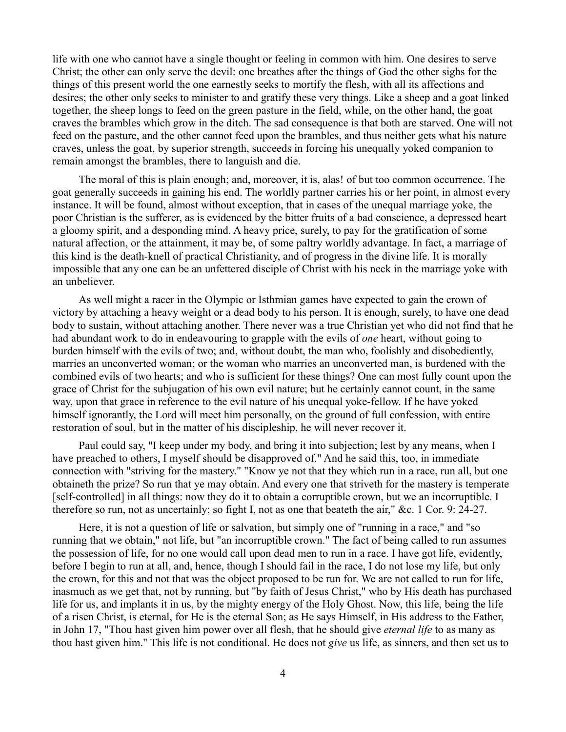life with one who cannot have a single thought or feeling in common with him. One desires to serve Christ; the other can only serve the devil: one breathes after the things of God the other sighs for the things of this present world the one earnestly seeks to mortify the flesh, with all its affections and desires; the other only seeks to minister to and gratify these very things. Like a sheep and a goat linked together, the sheep longs to feed on the green pasture in the field, while, on the other hand, the goat craves the brambles which grow in the ditch. The sad consequence is that both are starved. One will not feed on the pasture, and the other cannot feed upon the brambles, and thus neither gets what his nature craves, unless the goat, by superior strength, succeeds in forcing his unequally yoked companion to remain amongst the brambles, there to languish and die.

The moral of this is plain enough; and, moreover, it is, alas! of but too common occurrence. The goat generally succeeds in gaining his end. The worldly partner carries his or her point, in almost every instance. It will be found, almost without exception, that in cases of the unequal marriage yoke, the poor Christian is the sufferer, as is evidenced by the bitter fruits of a bad conscience, a depressed heart a gloomy spirit, and a desponding mind. A heavy price, surely, to pay for the gratification of some natural affection, or the attainment, it may be, of some paltry worldly advantage. In fact, a marriage of this kind is the death-knell of practical Christianity, and of progress in the divine life. It is morally impossible that any one can be an unfettered disciple of Christ with his neck in the marriage yoke with an unbeliever.

As well might a racer in the Olympic or Isthmian games have expected to gain the crown of victory by attaching a heavy weight or a dead body to his person. It is enough, surely, to have one dead body to sustain, without attaching another. There never was a true Christian yet who did not find that he had abundant work to do in endeavouring to grapple with the evils of *one* heart, without going to burden himself with the evils of two; and, without doubt, the man who, foolishly and disobediently, marries an unconverted woman; or the woman who marries an unconverted man, is burdened with the combined evils of two hearts; and who is sufficient for these things? One can most fully count upon the grace of Christ for the subjugation of his own evil nature; but he certainly cannot count, in the same way, upon that grace in reference to the evil nature of his unequal yoke-fellow. If he have yoked himself ignorantly, the Lord will meet him personally, on the ground of full confession, with entire restoration of soul, but in the matter of his discipleship, he will never recover it.

Paul could say, "I keep under my body, and bring it into subjection; lest by any means, when I have preached to others, I myself should be disapproved of." And he said this, too, in immediate connection with "striving for the mastery." "Know ye not that they which run in a race, run all, but one obtaineth the prize? So run that ye may obtain. And every one that striveth for the mastery is temperate [self-controlled] in all things: now they do it to obtain a corruptible crown, but we an incorruptible. I therefore so run, not as uncertainly; so fight I, not as one that beateth the air," &c. 1 Cor. 9: 24-27.

Here, it is not a question of life or salvation, but simply one of "running in a race," and "so running that we obtain," not life, but "an incorruptible crown." The fact of being called to run assumes the possession of life, for no one would call upon dead men to run in a race. I have got life, evidently, before I begin to run at all, and, hence, though I should fail in the race, I do not lose my life, but only the crown, for this and not that was the object proposed to be run for. We are not called to run for life, inasmuch as we get that, not by running, but "by faith of Jesus Christ," who by His death has purchased life for us, and implants it in us, by the mighty energy of the Holy Ghost. Now, this life, being the life of a risen Christ, is eternal, for He is the eternal Son; as He says Himself, in His address to the Father, in John 17, "Thou hast given him power over all flesh, that he should give *eternal life* to as many as thou hast given him." This life is not conditional. He does not *give* us life, as sinners, and then set us to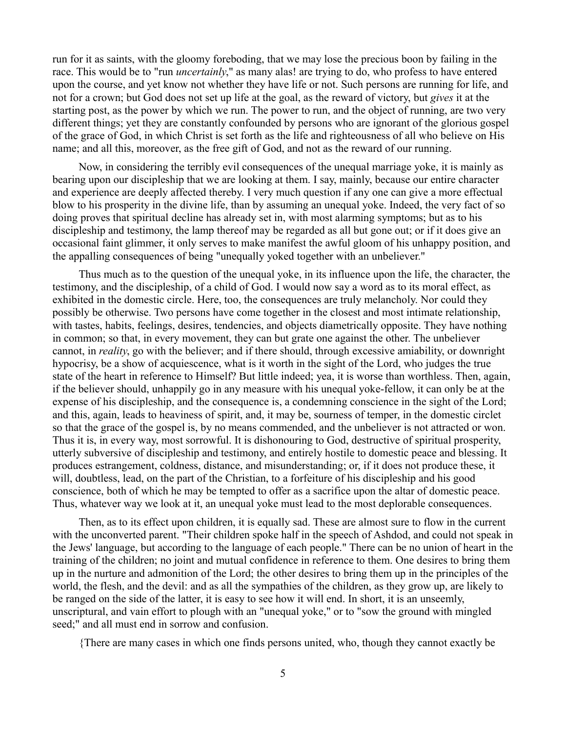run for it as saints, with the gloomy foreboding, that we may lose the precious boon by failing in the race. This would be to "run *uncertainly*," as many alas! are trying to do, who profess to have entered upon the course, and yet know not whether they have life or not. Such persons are running for life, and not for a crown; but God does not set up life at the goal, as the reward of victory, but *gives* it at the starting post, as the power by which we run. The power to run, and the object of running, are two very different things; yet they are constantly confounded by persons who are ignorant of the glorious gospel of the grace of God, in which Christ is set forth as the life and righteousness of all who believe on His name; and all this, moreover, as the free gift of God, and not as the reward of our running.

Now, in considering the terribly evil consequences of the unequal marriage yoke, it is mainly as bearing upon our discipleship that we are looking at them. I say, mainly, because our entire character and experience are deeply affected thereby. I very much question if any one can give a more effectual blow to his prosperity in the divine life, than by assuming an unequal yoke. Indeed, the very fact of so doing proves that spiritual decline has already set in, with most alarming symptoms; but as to his discipleship and testimony, the lamp thereof may be regarded as all but gone out; or if it does give an occasional faint glimmer, it only serves to make manifest the awful gloom of his unhappy position, and the appalling consequences of being "unequally yoked together with an unbeliever."

Thus much as to the question of the unequal yoke, in its influence upon the life, the character, the testimony, and the discipleship, of a child of God. I would now say a word as to its moral effect, as exhibited in the domestic circle. Here, too, the consequences are truly melancholy. Nor could they possibly be otherwise. Two persons have come together in the closest and most intimate relationship, with tastes, habits, feelings, desires, tendencies, and objects diametrically opposite. They have nothing in common; so that, in every movement, they can but grate one against the other. The unbeliever cannot, in *reality*, go with the believer; and if there should, through excessive amiability, or downright hypocrisy, be a show of acquiescence, what is it worth in the sight of the Lord, who judges the true state of the heart in reference to Himself? But little indeed; yea, it is worse than worthless. Then, again, if the believer should, unhappily go in any measure with his unequal yoke-fellow, it can only be at the expense of his discipleship, and the consequence is, a condemning conscience in the sight of the Lord; and this, again, leads to heaviness of spirit, and, it may be, sourness of temper, in the domestic circlet so that the grace of the gospel is, by no means commended, and the unbeliever is not attracted or won. Thus it is, in every way, most sorrowful. It is dishonouring to God, destructive of spiritual prosperity, utterly subversive of discipleship and testimony, and entirely hostile to domestic peace and blessing. It produces estrangement, coldness, distance, and misunderstanding; or, if it does not produce these, it will, doubtless, lead, on the part of the Christian, to a forfeiture of his discipleship and his good conscience, both of which he may be tempted to offer as a sacrifice upon the altar of domestic peace. Thus, whatever way we look at it, an unequal yoke must lead to the most deplorable consequences.

Then, as to its effect upon children, it is equally sad. These are almost sure to flow in the current with the unconverted parent. "Their children spoke half in the speech of Ashdod, and could not speak in the Jews' language, but according to the language of each people." There can be no union of heart in the training of the children; no joint and mutual confidence in reference to them. One desires to bring them up in the nurture and admonition of the Lord; the other desires to bring them up in the principles of the world, the flesh, and the devil: and as all the sympathies of the children, as they grow up, are likely to be ranged on the side of the latter, it is easy to see how it will end. In short, it is an unseemly, unscriptural, and vain effort to plough with an "unequal yoke," or to "sow the ground with mingled seed;" and all must end in sorrow and confusion.

{There are many cases in which one finds persons united, who, though they cannot exactly be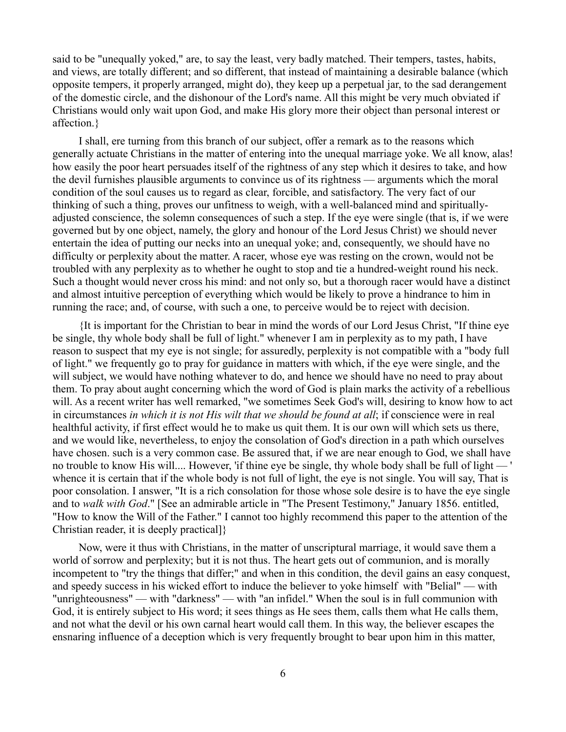said to be "unequally yoked," are, to say the least, very badly matched. Their tempers, tastes, habits, and views, are totally different; and so different, that instead of maintaining a desirable balance (which opposite tempers, it properly arranged, might do), they keep up a perpetual jar, to the sad derangement of the domestic circle, and the dishonour of the Lord's name. All this might be very much obviated if Christians would only wait upon God, and make His glory more their object than personal interest or affection.}

I shall, ere turning from this branch of our subject, offer a remark as to the reasons which generally actuate Christians in the matter of entering into the unequal marriage yoke. We all know, alas! how easily the poor heart persuades itself of the rightness of any step which it desires to take, and how the devil furnishes plausible arguments to convince us of its rightness — arguments which the moral condition of the soul causes us to regard as clear, forcible, and satisfactory. The very fact of our thinking of such a thing, proves our unfitness to weigh, with a well-balanced mind and spirituallyadjusted conscience, the solemn consequences of such a step. If the eye were single (that is, if we were governed but by one object, namely, the glory and honour of the Lord Jesus Christ) we should never entertain the idea of putting our necks into an unequal yoke; and, consequently, we should have no difficulty or perplexity about the matter. A racer, whose eye was resting on the crown, would not be troubled with any perplexity as to whether he ought to stop and tie a hundred-weight round his neck. Such a thought would never cross his mind: and not only so, but a thorough racer would have a distinct and almost intuitive perception of everything which would be likely to prove a hindrance to him in running the race; and, of course, with such a one, to perceive would be to reject with decision.

{It is important for the Christian to bear in mind the words of our Lord Jesus Christ, "If thine eye be single, thy whole body shall be full of light." whenever I am in perplexity as to my path, I have reason to suspect that my eye is not single; for assuredly, perplexity is not compatible with a "body full of light." we frequently go to pray for guidance in matters with which, if the eye were single, and the will subject, we would have nothing whatever to do, and hence we should have no need to pray about them. To pray about aught concerning which the word of God is plain marks the activity of a rebellious will. As a recent writer has well remarked, "we sometimes Seek God's will, desiring to know how to act in circumstances *in which it is not His wilt that we should be found at all*; if conscience were in real healthful activity, if first effect would he to make us quit them. It is our own will which sets us there, and we would like, nevertheless, to enjoy the consolation of God's direction in a path which ourselves have chosen. such is a very common case. Be assured that, if we are near enough to God, we shall have no trouble to know His will.... However, 'if thine eye be single, thy whole body shall be full of light — ' whence it is certain that if the whole body is not full of light, the eye is not single. You will say, That is poor consolation. I answer, "It is a rich consolation for those whose sole desire is to have the eye single and to *walk with God*." [See an admirable article in "The Present Testimony," January 1856. entitled, "How to know the Will of the Father." I cannot too highly recommend this paper to the attention of the Christian reader, it is deeply practical]}

Now, were it thus with Christians, in the matter of unscriptural marriage, it would save them a world of sorrow and perplexity; but it is not thus. The heart gets out of communion, and is morally incompetent to "try the things that differ;" and when in this condition, the devil gains an easy conquest, and speedy success in his wicked effort to induce the believer to yoke himself with "Belial" — with "unrighteousness" — with "darkness" — with "an infidel." When the soul is in full communion with God, it is entirely subject to His word; it sees things as He sees them, calls them what He calls them, and not what the devil or his own carnal heart would call them. In this way, the believer escapes the ensnaring influence of a deception which is very frequently brought to bear upon him in this matter,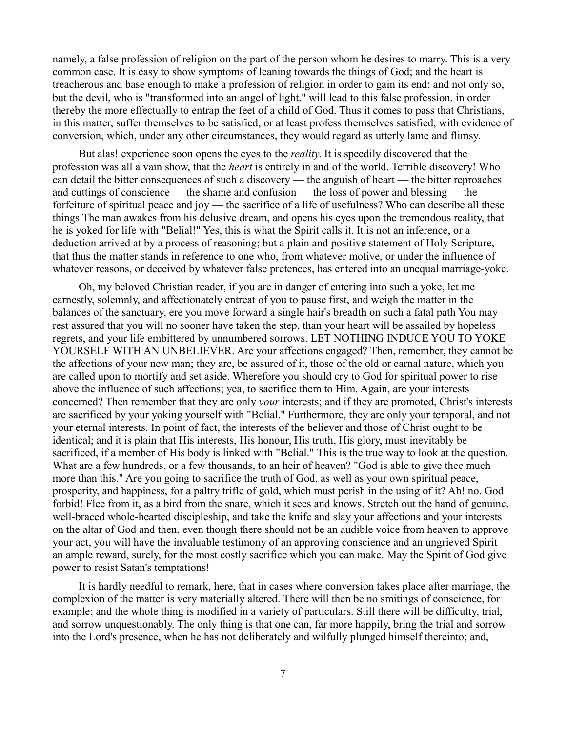namely, a false profession of religion on the part of the person whom he desires to marry. This is a very common case. It is easy to show symptoms of leaning towards the things of God; and the heart is treacherous and base enough to make a profession of religion in order to gain its end; and not only so, but the devil, who is "transformed into an angel of light," will lead to this false profession, in order thereby the more effectually to entrap the feet of a child of God. Thus it comes to pass that Christians, in this matter, suffer themselves to be satisfied, or at least profess themselves satisfied, with evidence of conversion, which, under any other circumstances, they would regard as utterly lame and flimsy.

But alas! experience soon opens the eyes to the *reality*. It is speedily discovered that the profession was all a vain show, that the *heart* is entirely in and of the world. Terrible discovery! Who can detail the bitter consequences of such a discovery — the anguish of heart — the bitter reproaches and cuttings of conscience — the shame and confusion — the loss of power and blessing — the forfeiture of spiritual peace and joy — the sacrifice of a life of usefulness? Who can describe all these things The man awakes from his delusive dream, and opens his eyes upon the tremendous reality, that he is yoked for life with "Belial!" Yes, this is what the Spirit calls it. It is not an inference, or a deduction arrived at by a process of reasoning; but a plain and positive statement of Holy Scripture, that thus the matter stands in reference to one who, from whatever motive, or under the influence of whatever reasons, or deceived by whatever false pretences, has entered into an unequal marriage-yoke.

Oh, my beloved Christian reader, if you are in danger of entering into such a yoke, let me earnestly, solemnly, and affectionately entreat of you to pause first, and weigh the matter in the balances of the sanctuary, ere you move forward a single hair's breadth on such a fatal path You may rest assured that you will no sooner have taken the step, than your heart will be assailed by hopeless regrets, and your life embittered by unnumbered sorrows. LET NOTHING INDUCE YOU TO YOKE YOURSELF WITH AN UNBELIEVER. Are your affections engaged? Then, remember, they cannot be the affections of your new man; they are, be assured of it, those of the old or carnal nature, which you are called upon to mortify and set aside. Wherefore you should cry to God for spiritual power to rise above the influence of such affections; yea, to sacrifice them to Him. Again, are your interests concerned? Then remember that they are only *your* interests; and if they are promoted, Christ's interests are sacrificed by your yoking yourself with "Belial." Furthermore, they are only your temporal, and not your eternal interests. In point of fact, the interests of the believer and those of Christ ought to be identical; and it is plain that His interests, His honour, His truth, His glory, must inevitably be sacrificed, if a member of His body is linked with "Belial." This is the true way to look at the question. What are a few hundreds, or a few thousands, to an heir of heaven? "God is able to give thee much more than this." Are you going to sacrifice the truth of God, as well as your own spiritual peace, prosperity, and happiness, for a paltry trifle of gold, which must perish in the using of it? Ah! no. God forbid! Flee from it, as a bird from the snare, which it sees and knows. Stretch out the hand of genuine, well-braced whole-hearted discipleship, and take the knife and slay your affections and your interests on the altar of God and then, even though there should not be an audible voice from heaven to approve your act, you will have the invaluable testimony of an approving conscience and an ungrieved Spirit an ample reward, surely, for the most costly sacrifice which you can make. May the Spirit of God give power to resist Satan's temptations!

It is hardly needful to remark, here, that in cases where conversion takes place after marriage, the complexion of the matter is very materially altered. There will then be no smitings of conscience, for example; and the whole thing is modified in a variety of particulars. Still there will be difficulty, trial, and sorrow unquestionably. The only thing is that one can, far more happily, bring the trial and sorrow into the Lord's presence, when he has not deliberately and wilfully plunged himself thereinto; and,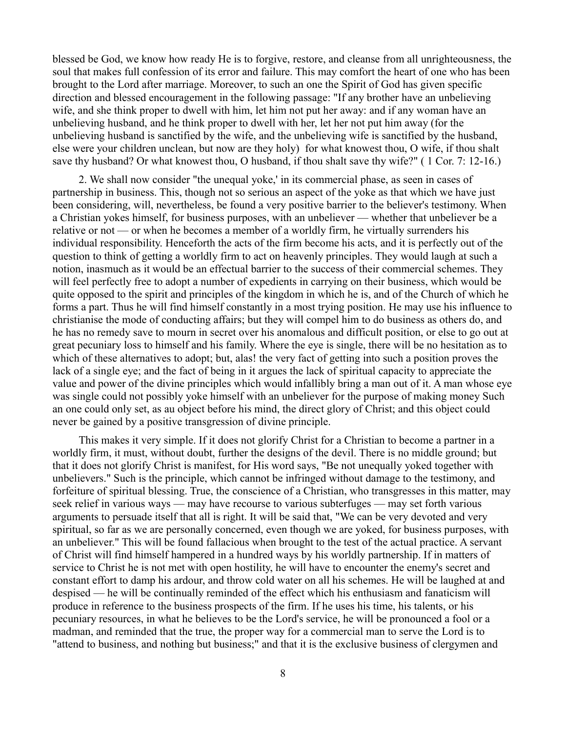blessed be God, we know how ready He is to forgive, restore, and cleanse from all unrighteousness, the soul that makes full confession of its error and failure. This may comfort the heart of one who has been brought to the Lord after marriage. Moreover, to such an one the Spirit of God has given specific direction and blessed encouragement in the following passage: "If any brother have an unbelieving wife, and she think proper to dwell with him, let him not put her away: and if any woman have an unbelieving husband, and he think proper to dwell with her, let her not put him away (for the unbelieving husband is sanctified by the wife, and the unbelieving wife is sanctified by the husband, else were your children unclean, but now are they holy) for what knowest thou, O wife, if thou shalt save thy husband? Or what knowest thou, O husband, if thou shalt save thy wife?" ( 1 Cor. 7: 12-16.)

2. We shall now consider "the unequal yoke,' in its commercial phase, as seen in cases of partnership in business. This, though not so serious an aspect of the yoke as that which we have just been considering, will, nevertheless, be found a very positive barrier to the believer's testimony. When a Christian yokes himself, for business purposes, with an unbeliever — whether that unbeliever be a relative or not — or when he becomes a member of a worldly firm, he virtually surrenders his individual responsibility. Henceforth the acts of the firm become his acts, and it is perfectly out of the question to think of getting a worldly firm to act on heavenly principles. They would laugh at such a notion, inasmuch as it would be an effectual barrier to the success of their commercial schemes. They will feel perfectly free to adopt a number of expedients in carrying on their business, which would be quite opposed to the spirit and principles of the kingdom in which he is, and of the Church of which he forms a part. Thus he will find himself constantly in a most trying position. He may use his influence to christianise the mode of conducting affairs; but they will compel him to do business as others do, and he has no remedy save to mourn in secret over his anomalous and difficult position, or else to go out at great pecuniary loss to himself and his family. Where the eye is single, there will be no hesitation as to which of these alternatives to adopt; but, alas! the very fact of getting into such a position proves the lack of a single eye; and the fact of being in it argues the lack of spiritual capacity to appreciate the value and power of the divine principles which would infallibly bring a man out of it. A man whose eye was single could not possibly yoke himself with an unbeliever for the purpose of making money Such an one could only set, as au object before his mind, the direct glory of Christ; and this object could never be gained by a positive transgression of divine principle.

This makes it very simple. If it does not glorify Christ for a Christian to become a partner in a worldly firm, it must, without doubt, further the designs of the devil. There is no middle ground; but that it does not glorify Christ is manifest, for His word says, "Be not unequally yoked together with unbelievers." Such is the principle, which cannot be infringed without damage to the testimony, and forfeiture of spiritual blessing. True, the conscience of a Christian, who transgresses in this matter, may seek relief in various ways — may have recourse to various subterfuges — may set forth various arguments to persuade itself that all is right. It will be said that, "We can be very devoted and very spiritual, so far as we are personally concerned, even though we are yoked, for business purposes, with an unbeliever." This will be found fallacious when brought to the test of the actual practice. A servant of Christ will find himself hampered in a hundred ways by his worldly partnership. If in matters of service to Christ he is not met with open hostility, he will have to encounter the enemy's secret and constant effort to damp his ardour, and throw cold water on all his schemes. He will be laughed at and despised — he will be continually reminded of the effect which his enthusiasm and fanaticism will produce in reference to the business prospects of the firm. If he uses his time, his talents, or his pecuniary resources, in what he believes to be the Lord's service, he will be pronounced a fool or a madman, and reminded that the true, the proper way for a commercial man to serve the Lord is to "attend to business, and nothing but business;" and that it is the exclusive business of clergymen and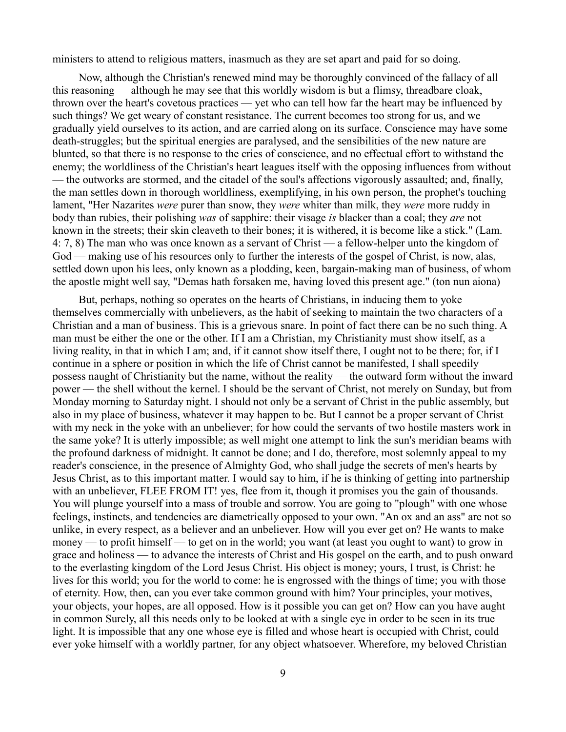ministers to attend to religious matters, inasmuch as they are set apart and paid for so doing.

Now, although the Christian's renewed mind may be thoroughly convinced of the fallacy of all this reasoning — although he may see that this worldly wisdom is but a flimsy, threadbare cloak, thrown over the heart's covetous practices — yet who can tell how far the heart may be influenced by such things? We get weary of constant resistance. The current becomes too strong for us, and we gradually yield ourselves to its action, and are carried along on its surface. Conscience may have some death-struggles; but the spiritual energies are paralysed, and the sensibilities of the new nature are blunted, so that there is no response to the cries of conscience, and no effectual effort to withstand the enemy; the worldliness of the Christian's heart leagues itself with the opposing influences from without — the outworks are stormed, and the citadel of the soul's affections vigorously assaulted; and, finally, the man settles down in thorough worldliness, exemplifying, in his own person, the prophet's touching lament, "Her Nazarites *were* purer than snow, they *were* whiter than milk, they *were* more ruddy in body than rubies, their polishing *was* of sapphire: their visage *is* blacker than a coal; they *are* not known in the streets; their skin cleaveth to their bones; it is withered, it is become like a stick." (Lam. 4: 7, 8) The man who was once known as a servant of Christ — a fellow-helper unto the kingdom of God — making use of his resources only to further the interests of the gospel of Christ, is now, alas, settled down upon his lees, only known as a plodding, keen, bargain-making man of business, of whom the apostle might well say, "Demas hath forsaken me, having loved this present age." (ton nun aiona)

But, perhaps, nothing so operates on the hearts of Christians, in inducing them to yoke themselves commercially with unbelievers, as the habit of seeking to maintain the two characters of a Christian and a man of business. This is a grievous snare. In point of fact there can be no such thing. A man must be either the one or the other. If I am a Christian, my Christianity must show itself, as a living reality, in that in which I am; and, if it cannot show itself there, I ought not to be there; for, if I continue in a sphere or position in which the life of Christ cannot be manifested, I shall speedily possess naught of Christianity but the name, without the reality — the outward form without the inward power — the shell without the kernel. I should be the servant of Christ, not merely on Sunday, but from Monday morning to Saturday night. I should not only be a servant of Christ in the public assembly, but also in my place of business, whatever it may happen to be. But I cannot be a proper servant of Christ with my neck in the yoke with an unbeliever; for how could the servants of two hostile masters work in the same yoke? It is utterly impossible; as well might one attempt to link the sun's meridian beams with the profound darkness of midnight. It cannot be done; and I do, therefore, most solemnly appeal to my reader's conscience, in the presence of Almighty God, who shall judge the secrets of men's hearts by Jesus Christ, as to this important matter. I would say to him, if he is thinking of getting into partnership with an unbeliever, FLEE FROM IT! yes, flee from it, though it promises you the gain of thousands. You will plunge yourself into a mass of trouble and sorrow. You are going to "plough" with one whose feelings, instincts, and tendencies are diametrically opposed to your own. "An ox and an ass" are not so unlike, in every respect, as a believer and an unbeliever. How will you ever get on? He wants to make money — to profit himself — to get on in the world; you want (at least you ought to want) to grow in grace and holiness — to advance the interests of Christ and His gospel on the earth, and to push onward to the everlasting kingdom of the Lord Jesus Christ. His object is money; yours, I trust, is Christ: he lives for this world; you for the world to come: he is engrossed with the things of time; you with those of eternity. How, then, can you ever take common ground with him? Your principles, your motives, your objects, your hopes, are all opposed. How is it possible you can get on? How can you have aught in common Surely, all this needs only to be looked at with a single eye in order to be seen in its true light. It is impossible that any one whose eye is filled and whose heart is occupied with Christ, could ever yoke himself with a worldly partner, for any object whatsoever. Wherefore, my beloved Christian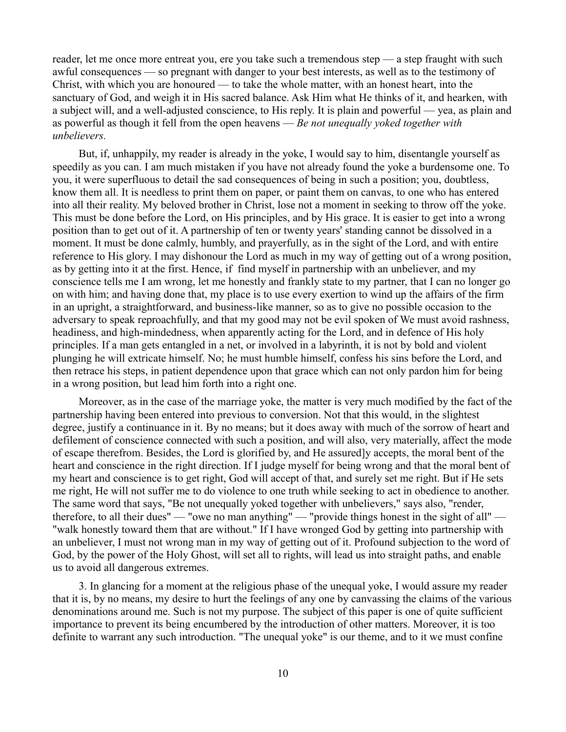reader, let me once more entreat you, ere you take such a tremendous step — a step fraught with such awful consequences — so pregnant with danger to your best interests, as well as to the testimony of Christ, with which you are honoured — to take the whole matter, with an honest heart, into the sanctuary of God, and weigh it in His sacred balance. Ask Him what He thinks of it, and hearken, with a subject will, and a well-adjusted conscience, to His reply. It is plain and powerful — yea, as plain and as powerful as though it fell from the open heavens — *Be not unequally yoked together with unbelievers.*

But, if, unhappily, my reader is already in the yoke, I would say to him, disentangle yourself as speedily as you can. I am much mistaken if you have not already found the yoke a burdensome one. To you, it were superfluous to detail the sad consequences of being in such a position; you, doubtless, know them all. It is needless to print them on paper, or paint them on canvas, to one who has entered into all their reality. My beloved brother in Christ, lose not a moment in seeking to throw off the yoke. This must be done before the Lord, on His principles, and by His grace. It is easier to get into a wrong position than to get out of it. A partnership of ten or twenty years' standing cannot be dissolved in a moment. It must be done calmly, humbly, and prayerfully, as in the sight of the Lord, and with entire reference to His glory. I may dishonour the Lord as much in my way of getting out of a wrong position, as by getting into it at the first. Hence, if find myself in partnership with an unbeliever, and my conscience tells me I am wrong, let me honestly and frankly state to my partner, that I can no longer go on with him; and having done that, my place is to use every exertion to wind up the affairs of the firm in an upright, a straightforward, and business-like manner, so as to give no possible occasion to the adversary to speak reproachfully, and that my good may not be evil spoken of We must avoid rashness, headiness, and high-mindedness, when apparently acting for the Lord, and in defence of His holy principles. If a man gets entangled in a net, or involved in a labyrinth, it is not by bold and violent plunging he will extricate himself. No; he must humble himself, confess his sins before the Lord, and then retrace his steps, in patient dependence upon that grace which can not only pardon him for being in a wrong position, but lead him forth into a right one.

Moreover, as in the case of the marriage yoke, the matter is very much modified by the fact of the partnership having been entered into previous to conversion. Not that this would, in the slightest degree, justify a continuance in it. By no means; but it does away with much of the sorrow of heart and defilement of conscience connected with such a position, and will also, very materially, affect the mode of escape therefrom. Besides, the Lord is glorified by, and He assured]y accepts, the moral bent of the heart and conscience in the right direction. If I judge myself for being wrong and that the moral bent of my heart and conscience is to get right, God will accept of that, and surely set me right. But if He sets me right, He will not suffer me to do violence to one truth while seeking to act in obedience to another. The same word that says, "Be not unequally yoked together with unbelievers," says also, "render, therefore, to all their dues" — "owe no man anything" — "provide things honest in the sight of all" — "walk honestly toward them that are without." If I have wronged God by getting into partnership with an unbeliever, I must not wrong man in my way of getting out of it. Profound subjection to the word of God, by the power of the Holy Ghost, will set all to rights, will lead us into straight paths, and enable us to avoid all dangerous extremes.

3. In glancing for a moment at the religious phase of the unequal yoke, I would assure my reader that it is, by no means, my desire to hurt the feelings of any one by canvassing the claims of the various denominations around me. Such is not my purpose. The subject of this paper is one of quite sufficient importance to prevent its being encumbered by the introduction of other matters. Moreover, it is too definite to warrant any such introduction. "The unequal yoke" is our theme, and to it we must confine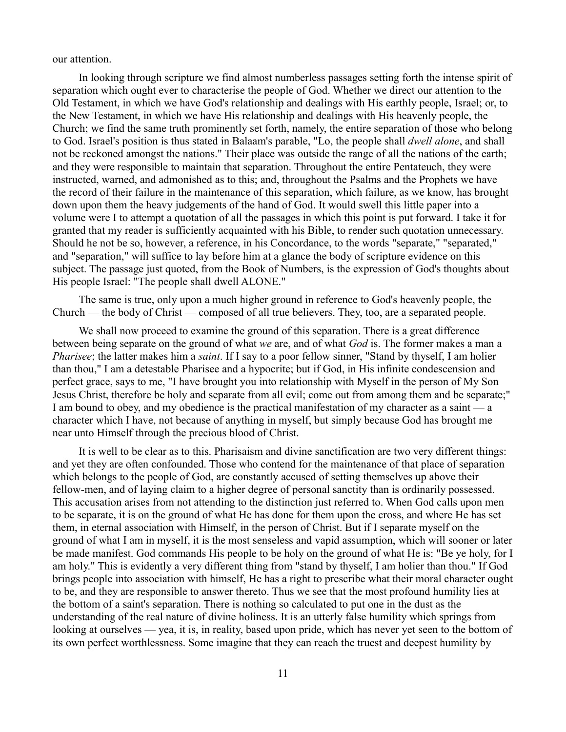our attention.

In looking through scripture we find almost numberless passages setting forth the intense spirit of separation which ought ever to characterise the people of God. Whether we direct our attention to the Old Testament, in which we have God's relationship and dealings with His earthly people, Israel; or, to the New Testament, in which we have His relationship and dealings with His heavenly people, the Church; we find the same truth prominently set forth, namely, the entire separation of those who belong to God. Israel's position is thus stated in Balaam's parable, "Lo, the people shall *dwell alone*, and shall not be reckoned amongst the nations." Their place was outside the range of all the nations of the earth; and they were responsible to maintain that separation. Throughout the entire Pentateuch, they were instructed, warned, and admonished as to this; and, throughout the Psalms and the Prophets we have the record of their failure in the maintenance of this separation, which failure, as we know, has brought down upon them the heavy judgements of the hand of God. It would swell this little paper into a volume were I to attempt a quotation of all the passages in which this point is put forward. I take it for granted that my reader is sufficiently acquainted with his Bible, to render such quotation unnecessary. Should he not be so, however, a reference, in his Concordance, to the words "separate," "separated," and "separation," will suffice to lay before him at a glance the body of scripture evidence on this subject. The passage just quoted, from the Book of Numbers, is the expression of God's thoughts about His people Israel: "The people shall dwell ALONE."

The same is true, only upon a much higher ground in reference to God's heavenly people, the Church — the body of Christ — composed of all true believers. They, too, are a separated people.

We shall now proceed to examine the ground of this separation. There is a great difference between being separate on the ground of what *we* are, and of what *God* is. The former makes a man a *Pharisee*; the latter makes him a *saint*. If I say to a poor fellow sinner, "Stand by thyself, I am holier than thou," I am a detestable Pharisee and a hypocrite; but if God, in His infinite condescension and perfect grace, says to me, "I have brought you into relationship with Myself in the person of My Son Jesus Christ, therefore be holy and separate from all evil; come out from among them and be separate;" I am bound to obey, and my obedience is the practical manifestation of my character as a saint — a character which I have, not because of anything in myself, but simply because God has brought me near unto Himself through the precious blood of Christ.

It is well to be clear as to this. Pharisaism and divine sanctification are two very different things: and yet they are often confounded. Those who contend for the maintenance of that place of separation which belongs to the people of God, are constantly accused of setting themselves up above their fellow-men, and of laying claim to a higher degree of personal sanctity than is ordinarily possessed. This accusation arises from not attending to the distinction just referred to. When God calls upon men to be separate, it is on the ground of what He has done for them upon the cross, and where He has set them, in eternal association with Himself, in the person of Christ. But if I separate myself on the ground of what I am in myself, it is the most senseless and vapid assumption, which will sooner or later be made manifest. God commands His people to be holy on the ground of what He is: "Be ye holy, for I am holy." This is evidently a very different thing from "stand by thyself, I am holier than thou." If God brings people into association with himself, He has a right to prescribe what their moral character ought to be, and they are responsible to answer thereto. Thus we see that the most profound humility lies at the bottom of a saint's separation. There is nothing so calculated to put one in the dust as the understanding of the real nature of divine holiness. It is an utterly false humility which springs from looking at ourselves — yea, it is, in reality, based upon pride, which has never yet seen to the bottom of its own perfect worthlessness. Some imagine that they can reach the truest and deepest humility by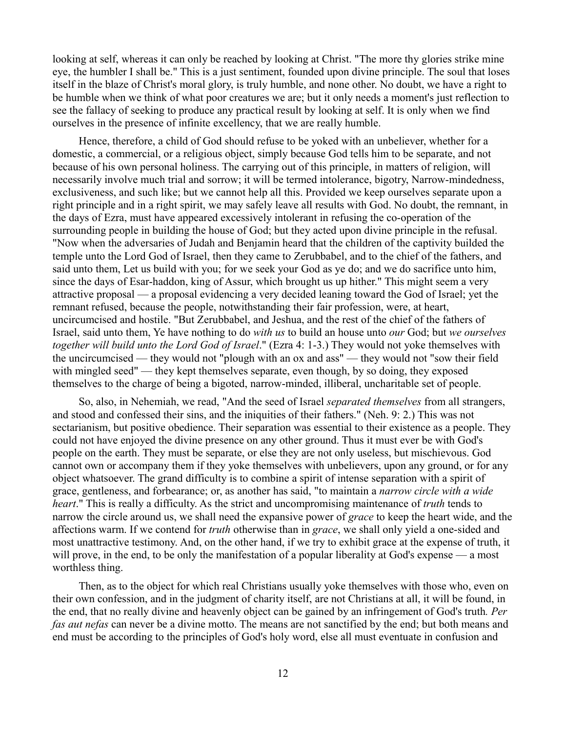looking at self, whereas it can only be reached by looking at Christ. "The more thy glories strike mine eye, the humbler I shall be." This is a just sentiment, founded upon divine principle. The soul that loses itself in the blaze of Christ's moral glory, is truly humble, and none other. No doubt, we have a right to be humble when we think of what poor creatures we are; but it only needs a moment's just reflection to see the fallacy of seeking to produce any practical result by looking at self. It is only when we find ourselves in the presence of infinite excellency, that we are really humble.

Hence, therefore, a child of God should refuse to be yoked with an unbeliever, whether for a domestic, a commercial, or a religious object, simply because God tells him to be separate, and not because of his own personal holiness. The carrying out of this principle, in matters of religion, will necessarily involve much trial and sorrow; it will be termed intolerance, bigotry, Narrow-mindedness, exclusiveness, and such like; but we cannot help all this. Provided we keep ourselves separate upon a right principle and in a right spirit, we may safely leave all results with God. No doubt, the remnant, in the days of Ezra, must have appeared excessively intolerant in refusing the co-operation of the surrounding people in building the house of God; but they acted upon divine principle in the refusal. "Now when the adversaries of Judah and Benjamin heard that the children of the captivity builded the temple unto the Lord God of Israel, then they came to Zerubbabel, and to the chief of the fathers, and said unto them, Let us build with you; for we seek your God as ye do; and we do sacrifice unto him, since the days of Esar-haddon, king of Assur, which brought us up hither." This might seem a very attractive proposal — a proposal evidencing a very decided leaning toward the God of Israel; yet the remnant refused, because the people, notwithstanding their fair profession, were, at heart, uncircumcised and hostile. "But Zerubbabel, and Jeshua, and the rest of the chief of the fathers of Israel, said unto them, Ye have nothing to do *with us* to build an house unto *our* God; but *we ourselves together will build unto the Lord God of Israel*." (Ezra 4: 1-3.) They would not yoke themselves with the uncircumcised — they would not "plough with an ox and ass" — they would not "sow their field with mingled seed" — they kept themselves separate, even though, by so doing, they exposed themselves to the charge of being a bigoted, narrow-minded, illiberal, uncharitable set of people.

So, also, in Nehemiah, we read, "And the seed of Israel *separated themselves* from all strangers, and stood and confessed their sins, and the iniquities of their fathers." (Neh. 9: 2.) This was not sectarianism, but positive obedience. Their separation was essential to their existence as a people. They could not have enjoyed the divine presence on any other ground. Thus it must ever be with God's people on the earth. They must be separate, or else they are not only useless, but mischievous. God cannot own or accompany them if they yoke themselves with unbelievers, upon any ground, or for any object whatsoever. The grand difficulty is to combine a spirit of intense separation with a spirit of grace, gentleness, and forbearance; or, as another has said, "to maintain a *narrow circle with a wide heart*." This is really a difficulty. As the strict and uncompromising maintenance of *truth* tends to narrow the circle around us, we shall need the expansive power of *grace* to keep the heart wide, and the affections warm. If we contend for *truth* otherwise than in *grace*, we shall only yield a one-sided and most unattractive testimony. And, on the other hand, if we try to exhibit grace at the expense of truth, it will prove, in the end, to be only the manifestation of a popular liberality at God's expense — a most worthless thing.

Then, as to the object for which real Christians usually yoke themselves with those who, even on their own confession, and in the judgment of charity itself, are not Christians at all, it will be found, in the end, that no really divine and heavenly object can be gained by an infringement of God's truth*. Per fas aut nefas* can never be a divine motto. The means are not sanctified by the end; but both means and end must be according to the principles of God's holy word, else all must eventuate in confusion and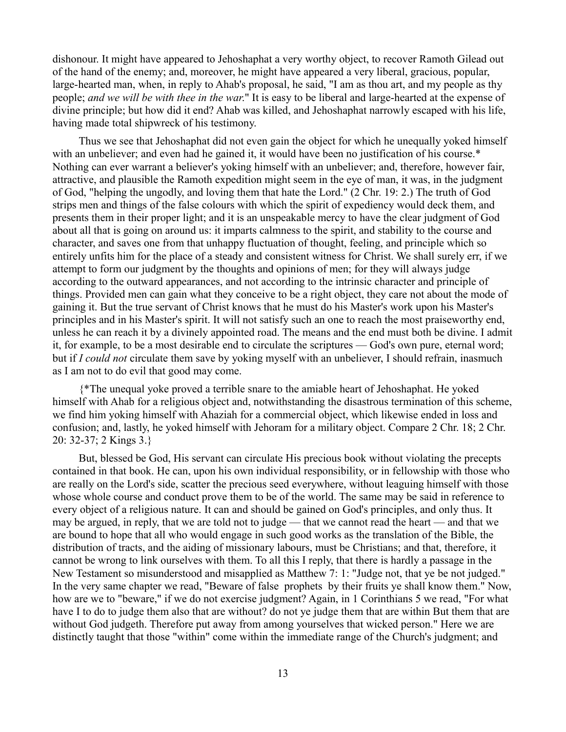dishonour. It might have appeared to Jehoshaphat a very worthy object, to recover Ramoth Gilead out of the hand of the enemy; and, moreover, he might have appeared a very liberal, gracious, popular, large-hearted man, when, in reply to Ahab's proposal, he said, "I am as thou art, and my people as thy people; *and we will be with thee in the war*." It is easy to be liberal and large-hearted at the expense of divine principle; but how did it end? Ahab was killed, and Jehoshaphat narrowly escaped with his life, having made total shipwreck of his testimony.

Thus we see that Jehoshaphat did not even gain the object for which he unequally yoked himself with an unbeliever; and even had he gained it, it would have been no justification of his course.\* Nothing can ever warrant a believer's yoking himself with an unbeliever; and, therefore, however fair, attractive, and plausible the Ramoth expedition might seem in the eye of man, it was, in the judgment of God, "helping the ungodly, and loving them that hate the Lord." (2 Chr. 19: 2.) The truth of God strips men and things of the false colours with which the spirit of expediency would deck them, and presents them in their proper light; and it is an unspeakable mercy to have the clear judgment of God about all that is going on around us: it imparts calmness to the spirit, and stability to the course and character, and saves one from that unhappy fluctuation of thought, feeling, and principle which so entirely unfits him for the place of a steady and consistent witness for Christ. We shall surely err, if we attempt to form our judgment by the thoughts and opinions of men; for they will always judge according to the outward appearances, and not according to the intrinsic character and principle of things. Provided men can gain what they conceive to be a right object, they care not about the mode of gaining it. But the true servant of Christ knows that he must do his Master's work upon his Master's principles and in his Master's spirit. It will not satisfy such an one to reach the most praiseworthy end, unless he can reach it by a divinely appointed road. The means and the end must both be divine. I admit it, for example, to be a most desirable end to circulate the scriptures — God's own pure, eternal word; but if *I could not* circulate them save by yoking myself with an unbeliever, I should refrain, inasmuch as I am not to do evil that good may come.

{\*The unequal yoke proved a terrible snare to the amiable heart of Jehoshaphat. He yoked himself with Ahab for a religious object and, notwithstanding the disastrous termination of this scheme, we find him yoking himself with Ahaziah for a commercial object, which likewise ended in loss and confusion; and, lastly, he yoked himself with Jehoram for a military object. Compare 2 Chr. 18; 2 Chr. 20: 32-37; 2 Kings 3.}

But, blessed be God, His servant can circulate His precious book without violating the precepts contained in that book. He can, upon his own individual responsibility, or in fellowship with those who are really on the Lord's side, scatter the precious seed everywhere, without leaguing himself with those whose whole course and conduct prove them to be of the world. The same may be said in reference to every object of a religious nature. It can and should be gained on God's principles, and only thus. It may be argued, in reply, that we are told not to judge — that we cannot read the heart — and that we are bound to hope that all who would engage in such good works as the translation of the Bible, the distribution of tracts, and the aiding of missionary labours, must be Christians; and that, therefore, it cannot be wrong to link ourselves with them. To all this I reply, that there is hardly a passage in the New Testament so misunderstood and misapplied as Matthew 7: 1: "Judge not, that ye be not judged." In the very same chapter we read, "Beware of false prophets by their fruits ye shall know them." Now, how are we to "beware," if we do not exercise judgment? Again, in 1 Corinthians 5 we read, "For what have I to do to judge them also that are without? do not ye judge them that are within But them that are without God judgeth. Therefore put away from among yourselves that wicked person." Here we are distinctly taught that those "within" come within the immediate range of the Church's judgment; and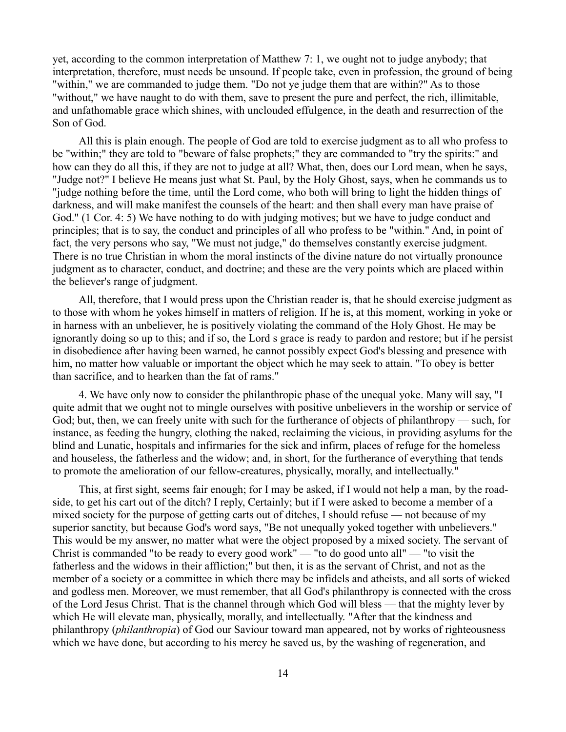yet, according to the common interpretation of Matthew 7: 1, we ought not to judge anybody; that interpretation, therefore, must needs be unsound. If people take, even in profession, the ground of being "within," we are commanded to judge them. "Do not ye judge them that are within?" As to those "without," we have naught to do with them, save to present the pure and perfect, the rich, illimitable, and unfathomable grace which shines, with unclouded effulgence, in the death and resurrection of the Son of God.

All this is plain enough. The people of God are told to exercise judgment as to all who profess to be "within;" they are told to "beware of false prophets;" they are commanded to "try the spirits:" and how can they do all this, if they are not to judge at all? What, then, does our Lord mean, when he says, "Judge not?" I believe He means just what St. Paul, by the Holy Ghost, says, when he commands us to "judge nothing before the time, until the Lord come, who both will bring to light the hidden things of darkness, and will make manifest the counsels of the heart: and then shall every man have praise of God." (1 Cor. 4: 5) We have nothing to do with judging motives; but we have to judge conduct and principles; that is to say, the conduct and principles of all who profess to be "within." And, in point of fact, the very persons who say, "We must not judge," do themselves constantly exercise judgment. There is no true Christian in whom the moral instincts of the divine nature do not virtually pronounce judgment as to character, conduct, and doctrine; and these are the very points which are placed within the believer's range of judgment.

All, therefore, that I would press upon the Christian reader is, that he should exercise judgment as to those with whom he yokes himself in matters of religion. If he is, at this moment, working in yoke or in harness with an unbeliever, he is positively violating the command of the Holy Ghost. He may be ignorantly doing so up to this; and if so, the Lord s grace is ready to pardon and restore; but if he persist in disobedience after having been warned, he cannot possibly expect God's blessing and presence with him, no matter how valuable or important the object which he may seek to attain. "To obey is better than sacrifice, and to hearken than the fat of rams."

4. We have only now to consider the philanthropic phase of the unequal yoke. Many will say, "I quite admit that we ought not to mingle ourselves with positive unbelievers in the worship or service of God; but, then, we can freely unite with such for the furtherance of objects of philanthropy — such, for instance, as feeding the hungry, clothing the naked, reclaiming the vicious, in providing asylums for the blind and Lunatic, hospitals and infirmaries for the sick and infirm, places of refuge for the homeless and houseless, the fatherless and the widow; and, in short, for the furtherance of everything that tends to promote the amelioration of our fellow-creatures, physically, morally, and intellectually."

This, at first sight, seems fair enough; for I may be asked, if I would not help a man, by the roadside, to get his cart out of the ditch? I reply, Certainly; but if I were asked to become a member of a mixed society for the purpose of getting carts out of ditches, I should refuse — not because of my superior sanctity, but because God's word says, "Be not unequally yoked together with unbelievers." This would be my answer, no matter what were the object proposed by a mixed society. The servant of Christ is commanded "to be ready to every good work" — "to do good unto all" — "to visit the fatherless and the widows in their affliction;" but then, it is as the servant of Christ, and not as the member of a society or a committee in which there may be infidels and atheists, and all sorts of wicked and godless men. Moreover, we must remember, that all God's philanthropy is connected with the cross of the Lord Jesus Christ. That is the channel through which God will bless — that the mighty lever by which He will elevate man, physically, morally, and intellectually. "After that the kindness and philanthropy (*philanthropia*) of God our Saviour toward man appeared, not by works of righteousness which we have done, but according to his mercy he saved us, by the washing of regeneration, and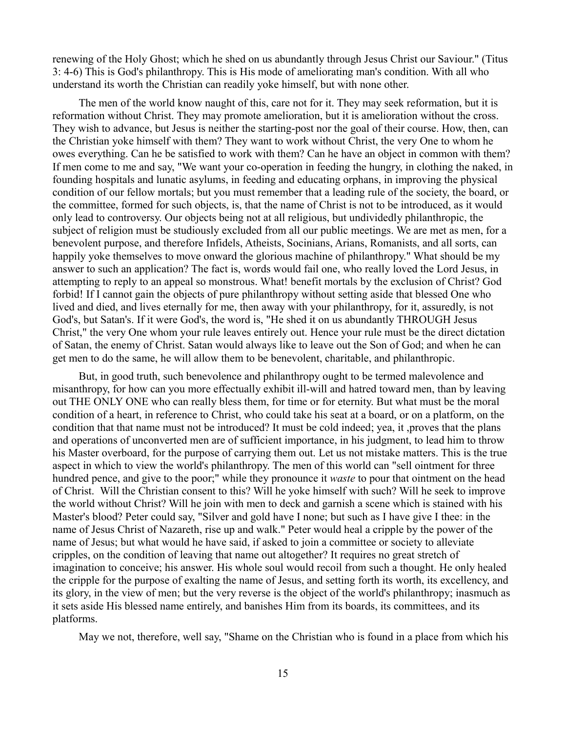renewing of the Holy Ghost; which he shed on us abundantly through Jesus Christ our Saviour." (Titus 3: 4-6) This is God's philanthropy. This is His mode of ameliorating man's condition. With all who understand its worth the Christian can readily yoke himself, but with none other.

The men of the world know naught of this, care not for it. They may seek reformation, but it is reformation without Christ. They may promote amelioration, but it is amelioration without the cross. They wish to advance, but Jesus is neither the starting-post nor the goal of their course. How, then, can the Christian yoke himself with them? They want to work without Christ, the very One to whom he owes everything. Can he be satisfied to work with them? Can he have an object in common with them? If men come to me and say, "We want your co-operation in feeding the hungry, in clothing the naked, in founding hospitals and lunatic asylums, in feeding and educating orphans, in improving the physical condition of our fellow mortals; but you must remember that a leading rule of the society, the board, or the committee, formed for such objects, is, that the name of Christ is not to be introduced, as it would only lead to controversy. Our objects being not at all religious, but undividedly philanthropic, the subject of religion must be studiously excluded from all our public meetings. We are met as men, for a benevolent purpose, and therefore Infidels, Atheists, Socinians, Arians, Romanists, and all sorts, can happily yoke themselves to move onward the glorious machine of philanthropy." What should be my answer to such an application? The fact is, words would fail one, who really loved the Lord Jesus, in attempting to reply to an appeal so monstrous. What! benefit mortals by the exclusion of Christ? God forbid! If I cannot gain the objects of pure philanthropy without setting aside that blessed One who lived and died, and lives eternally for me, then away with your philanthropy, for it, assuredly, is not God's, but Satan's. If it were God's, the word is, "He shed it on us abundantly THROUGH Jesus Christ," the very One whom your rule leaves entirely out. Hence your rule must be the direct dictation of Satan, the enemy of Christ. Satan would always like to leave out the Son of God; and when he can get men to do the same, he will allow them to be benevolent, charitable, and philanthropic.

But, in good truth, such benevolence and philanthropy ought to be termed malevolence and misanthropy, for how can you more effectually exhibit ill-will and hatred toward men, than by leaving out THE ONLY ONE who can really bless them, for time or for eternity. But what must be the moral condition of a heart, in reference to Christ, who could take his seat at a board, or on a platform, on the condition that that name must not be introduced? It must be cold indeed; yea, it ,proves that the plans and operations of unconverted men are of sufficient importance, in his judgment, to lead him to throw his Master overboard, for the purpose of carrying them out. Let us not mistake matters. This is the true aspect in which to view the world's philanthropy. The men of this world can "sell ointment for three hundred pence, and give to the poor;" while they pronounce it *waste* to pour that ointment on the head of Christ. Will the Christian consent to this? Will he yoke himself with such? Will he seek to improve the world without Christ? Will he join with men to deck and garnish a scene which is stained with his Master's blood? Peter could say, "Silver and gold have I none; but such as I have give I thee: in the name of Jesus Christ of Nazareth, rise up and walk." Peter would heal a cripple by the power of the name of Jesus; but what would he have said, if asked to join a committee or society to alleviate cripples, on the condition of leaving that name out altogether? It requires no great stretch of imagination to conceive; his answer. His whole soul would recoil from such a thought. He only healed the cripple for the purpose of exalting the name of Jesus, and setting forth its worth, its excellency, and its glory, in the view of men; but the very reverse is the object of the world's philanthropy; inasmuch as it sets aside His blessed name entirely, and banishes Him from its boards, its committees, and its platforms.

May we not, therefore, well say, "Shame on the Christian who is found in a place from which his